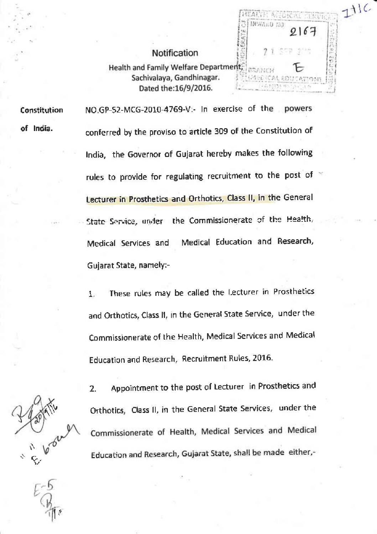## Notification

 $111C$ 

SATTE ALE NWARD SE

Health and Family Welfare Department, Sachivalaya, Gandhinagar. Dated the:16/9/2016.

Constitution of India.

NO.GP-52-MCG-2010-4769-V:- In exercise of the powers conferred by the proviso to article 309 of the Constitution of India, the Governor of Gujarat hereby makes the following rules to provide for regulating recruitment to the post of x Lecturer in Prosthetics and Orthotics, Class II, in the General State Service, under the Commissionerate of the Health, Medical Education and Research, Medical Services and Gujarat State, namely:-

These rules may be called the Lecturer in Prosthetics 1. and Orthotics, Class II, in the General State Service, under the Commissionerate of the Health, Medical Services and Medical Education and Research, Recruitment Rules, 2016.

Appointment to the post of Lecturer in Prosthetics and 2. Orthotics, Class II, in the General State Services, under the Commissionerate of Health, Medical Services and Medical Education and Research, Gujarat State, shall be made either,-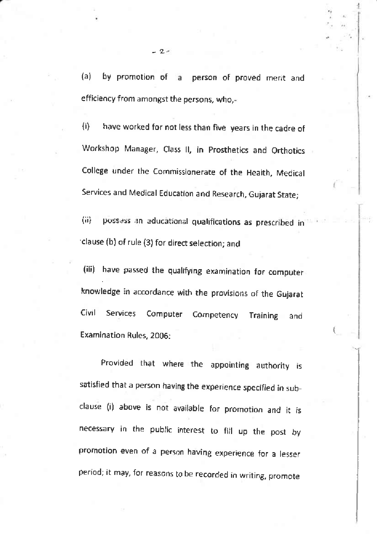$(a)$ by promotion of a person of proved merit and efficiency from amongst the persons, who,-

have worked for not less than five years in the cadre of  $\{ij\}$ Workshop Manager, Class II, in Prosthetics and Orthotics College under the Commissionerate of the Health, Medical Services and Medical Education and Research, Gujarat State;

possess an aducational qualifications as prescribed in 備 clause (b) of rule (3) for direct selection; and

(iii) have passed the qualifying examination for computer knowledge in accordance with the provisions of the Gujarat Civil Services Computer Competency **Training** and Examination Rules, 2006:

Provided that where the appointing authority is satisfied that a person having the experience specified in subclause (i) above is not available for promotion and it is necessary in the public interest to fill up the post by promotion even of a person having experience for a lesser period; it may, for reasons to be recorded in writing, promote

 $2.$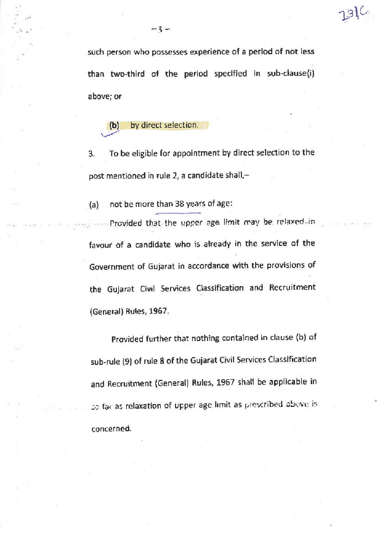such person who possesses experience of a period of not less than two-third of the period specified in sub-clause(i) above; or

13)C

by direct selection.  $(b)$ 

To be eligible for appointment by direct selection to the 3. post mentioned in rule 2, a candidate shall,-

not be more than 38 years of age:  $(a)$ 

Provided that the upper age limit may be relaxed in favour of a candidate who is already in the service of the Government of Gujarat in accordance with the provisions of the Gujarat Civil Services Classification and Recruitment (General) Rules, 1967.

Provided further that nothing contained in clause (b) of sub-rule (9) of rule 8 of the Gujarat Civil Services Classification and Recruitment (General) Rules, 1967 shall be applicable in so far as relaxation of upper age limit as prescribed above is concerned.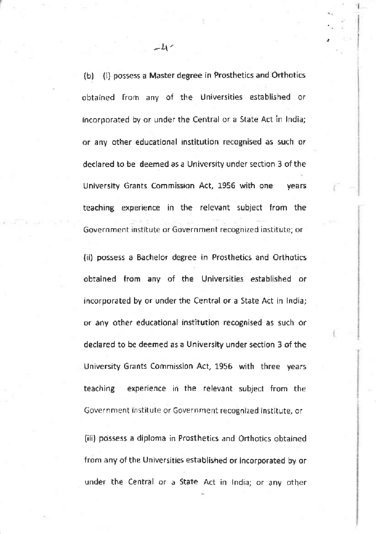(i) possess a Master degree in Prosthetics and Orthotics  $(b)$ obtained from any of the Universities established or incorporated by or under the Central or a State Act in India; or any other educational institution recognised as such or declared to be deemed as a University under section 3 of the University Grants Commission Act, 1956 with one vears teaching experience in the relevant subject from the Government institute or Government recognized institute; or

(ii) possess a Bachelor degree in Prosthetics and Orthotics obtained from any of the Universities established or incorporated by or under the Central or a State Act in India; or any other educational institution recognised as such or declared to be deemed as a University under section 3 of the University Grants Commission Act, 1956 with three years experience in the relevant subject from the teaching Government institute or Government recognized institute, or

(iii) possess a diploma in Prosthetics and Orthotics obtained from any of the Universities established or incorporated by or under the Central or a State Act in India; or any other

 $\pm 1$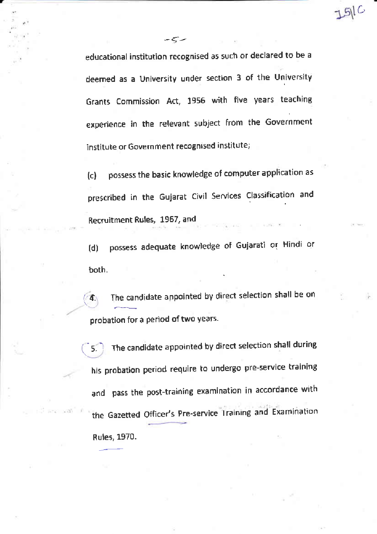educational institution recognised as such or declared to be a deemed as a University under section 3 of the University Grants Commission Act, 1956 with five years teaching experience in the relevant subject from the Government institute or Government recognised institute;

 $-5$ 

 $51C$ 

possess the basic knowledge of computer application as  $(c)$ prescribed in the Gujarat Civil Services Classification and Recruitment Rules, 1967, and

possess adequate knowledge of Gujarati or Hindi or  $(d)$ both.

The candidate appointed by direct selection shall be on  $\mathcal{A}$ probation for a period of two years.

The candidate appointed by direct selection shall during 5. his probation period require to undergo pre-service training and pass the post-training examination in accordance with the Gazetted Officer's Pre-service Training and Examination Rules, 1970.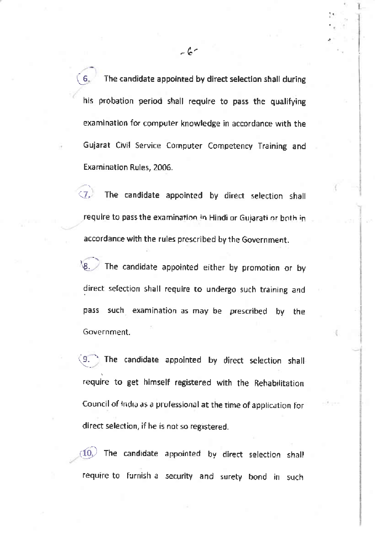The candidate appointed by direct selection shall during 6. his probation period shall require to pass the qualifying examination for computer knowledge in accordance with the Gujarat Civil Service Computer Competency Training and Examination Rules, 2006.

The candidate appointed by direct selection shall 47. require to pass the examination in Hindi or Gujarati or both in accordance with the rules prescribed by the Government.

The candidate appointed either by promotion or by VR. direct selection shall require to undergo such training and pass such examination as may be prescribed bv the Government.

The candidate appointed by direct selection shallrequire to get himself registered with the Rehabilitation Council of India as a professional at the time of application for direct selection, if he is not so registered.

The candidate appointed by direct selection shall  $(10.)$ require to furnish a security and surety bond in such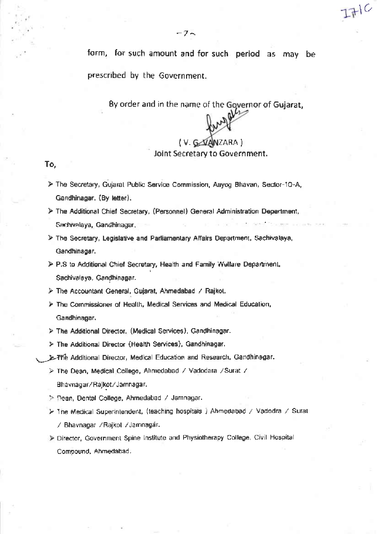form, for such amount and for such period as may be prescribed by the Government.

By order and in the name of the Governor of Gujarat,

## (V. GARANZARA)

 $L + C$ 

## Joint Secretary to Government.

## To,

- > The Secretary, Gujarat Public Service Commission, Aayog Bhavan, Sector-10-A, Gandhinagar. (By letter).
- > The Additional Chief Secretary, (Personnel) General Administration Department, Sachivalaya, Gandhinagar.
- > The Secretary, Legislative and Parliamentary Alfairs Department, Sachivalaya, Gandhinagar.
- > P.S to Additional Chief Secretary, Health and Family Wellare Department, Sachivalaya, Gandhinagar.

> The Accountant General, Gujarat, Ahmedabad / Rajkot.

- > The Commissioner of Health, Medical Services and Medical Education, Gandhinagar.
- > The Additional Director. (Medical Services), Gandhinagar.
- > The Additional Director (Health Services), Gandhinagar.
- > The Additional Director, Medical Education and Research, Gandhinagar.
	- > The Dean, Medical College, Ahmedabad / Vadodara / Surat / Bhavnagar/Rajkot/Jamnagar.
	- > Dean, Dental College, Ahmedabad / Jamnagar.
	- > The Medical Superintendent, (teaching hospitals ) Ahmedabad / Vadodra / Surat / Bhavnagar / Rajkol / Jamnagár.
	- > Director, Government Spine Institute and Physiotherapy College, Civil Hospital Compound, Ahmedabad.